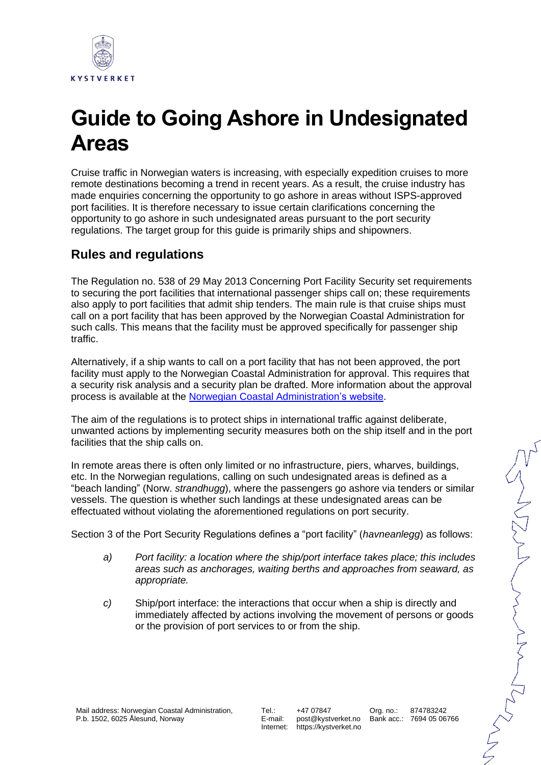

## **Guide to Going Ashore in Undesignated Areas**

Cruise traffic in Norwegian waters is increasing, with especially expedition cruises to more remote destinations becoming a trend in recent years. As a result, the cruise industry has made enquiries concerning the opportunity to go ashore in areas without ISPS-approved port facilities. It is therefore necessary to issue certain clarifications concerning the opportunity to go ashore in such undesignated areas pursuant to the port security regulations. The target group for this guide is primarily ships and shipowners.

## **Rules and regulations**

The Regulation no. 538 of 29 May 2013 Concerning Port Facility Security set requirements to securing the port facilities that international passenger ships call on; these requirements also apply to port facilities that admit ship tenders. The main rule is that cruise ships must call on a port facility that has been approved by the Norwegian Coastal Administration for such calls. This means that the facility must be approved specifically for passenger ship traffic.

Alternatively, if a ship wants to call on a port facility that has not been approved, the port facility must apply to the Norwegian Coastal Administration for approval. This requires that a security risk analysis and a security plan be drafted. More information about the approval process is available at the [Norwegian Coastal Administration's website.](https://www.kystverket.no/sjotransport-og-havn/havnesikring/godkjenning/)

The aim of the regulations is to protect ships in international traffic against deliberate, unwanted actions by implementing security measures both on the ship itself and in the port facilities that the ship calls on.

In remote areas there is often only limited or no infrastructure, piers, wharves, buildings, etc. In the Norwegian regulations, calling on such undesignated areas is defined as a "beach landing" (Norw. *strandhugg*), where the passengers go ashore via tenders or similar vessels. The question is whether such landings at these undesignated areas can be effectuated without violating the aforementioned regulations on port security.

Section 3 of the Port Security Regulations defines a "port facility" (*havneanlegg*) as follows:

- *a) Port facility: a location where the ship/port interface takes place; this includes areas such as anchorages, waiting berths and approaches from seaward, as appropriate.*
- *c)* Ship/port interface: the interactions that occur when a ship is directly and immediately affected by actions involving the movement of persons or goods or the provision of port services to or from the ship.

ハイとひとくとくとく

Org. no.:

Tel.: E-mail: Internet: +47 07847 post@kystverket.no https://kystverket.no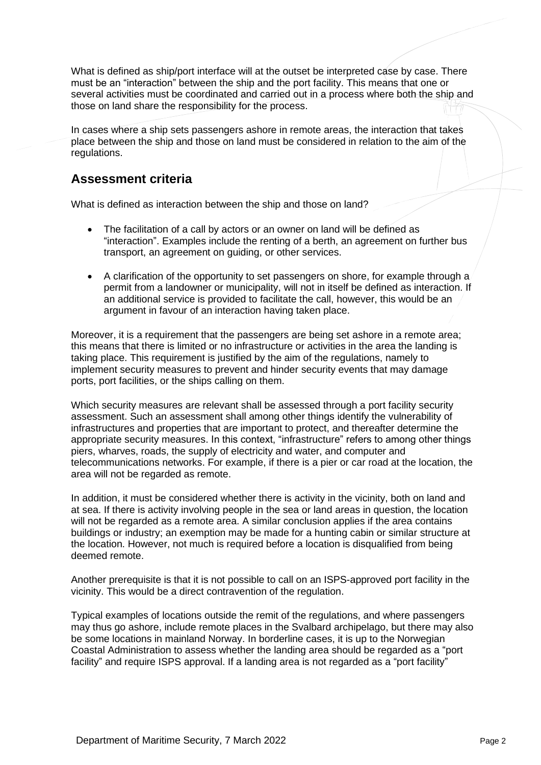What is defined as ship/port interface will at the outset be interpreted case by case. There must be an "interaction" between the ship and the port facility. This means that one or several activities must be coordinated and carried out in a process where both the ship and those on land share the responsibility for the process.

In cases where a ship sets passengers ashore in remote areas, the interaction that takes place between the ship and those on land must be considered in relation to the aim of the regulations.

## **Assessment criteria**

What is defined as interaction between the ship and those on land?

- The facilitation of a call by actors or an owner on land will be defined as "interaction". Examples include the renting of a berth, an agreement on further bus transport, an agreement on guiding, or other services.
- A clarification of the opportunity to set passengers on shore, for example through a permit from a landowner or municipality, will not in itself be defined as interaction. If an additional service is provided to facilitate the call, however, this would be an argument in favour of an interaction having taken place.

Moreover, it is a requirement that the passengers are being set ashore in a remote area; this means that there is limited or no infrastructure or activities in the area the landing is taking place. This requirement is justified by the aim of the regulations, namely to implement security measures to prevent and hinder security events that may damage ports, port facilities, or the ships calling on them.

Which security measures are relevant shall be assessed through a port facility security assessment. Such an assessment shall among other things identify the vulnerability of infrastructures and properties that are important to protect, and thereafter determine the appropriate security measures. In this context, "infrastructure" refers to among other things piers, wharves, roads, the supply of electricity and water, and computer and telecommunications networks. For example, if there is a pier or car road at the location, the area will not be regarded as remote.

In addition, it must be considered whether there is activity in the vicinity, both on land and at sea. If there is activity involving people in the sea or land areas in question, the location will not be regarded as a remote area. A similar conclusion applies if the area contains buildings or industry; an exemption may be made for a hunting cabin or similar structure at the location. However, not much is required before a location is disqualified from being deemed remote.

Another prerequisite is that it is not possible to call on an ISPS-approved port facility in the vicinity. This would be a direct contravention of the regulation.

Typical examples of locations outside the remit of the regulations, and where passengers may thus go ashore, include remote places in the Svalbard archipelago, but there may also be some locations in mainland Norway. In borderline cases, it is up to the Norwegian Coastal Administration to assess whether the landing area should be regarded as a "port facility" and require ISPS approval. If a landing area is not regarded as a "port facility"